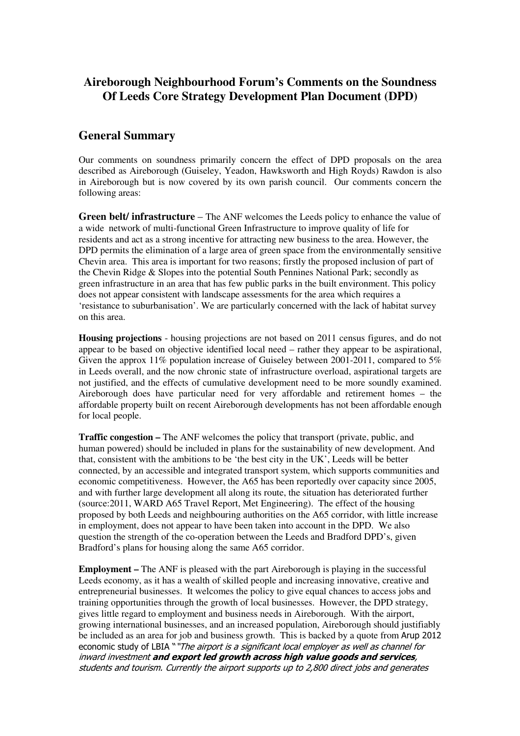## **Aireborough Neighbourhood Forum's Comments on the Soundness Of Leeds Core Strategy Development Plan Document (DPD)**

## **General Summary**

Our comments on soundness primarily concern the effect of DPD proposals on the area described as Aireborough (Guiseley, Yeadon, Hawksworth and High Royds) Rawdon is also in Aireborough but is now covered by its own parish council. Our comments concern the following areas:

**Green belt/ infrastructure** – The ANF welcomes the Leeds policy to enhance the value of a wide network of multi-functional Green Infrastructure to improve quality of life for residents and act as a strong incentive for attracting new business to the area. However, the DPD permits the elimination of a large area of green space from the environmentally sensitive Chevin area. This area is important for two reasons; firstly the proposed inclusion of part of the Chevin Ridge & Slopes into the potential South Pennines National Park; secondly as green infrastructure in an area that has few public parks in the built environment. This policy does not appear consistent with landscape assessments for the area which requires a 'resistance to suburbanisation'. We are particularly concerned with the lack of habitat survey on this area.

**Housing projections** - housing projections are not based on 2011 census figures, and do not appear to be based on objective identified local need – rather they appear to be aspirational, Given the approx  $11\%$  population increase of Guiseley between 2001-2011, compared to 5% in Leeds overall, and the now chronic state of infrastructure overload, aspirational targets are not justified, and the effects of cumulative development need to be more soundly examined. Aireborough does have particular need for very affordable and retirement homes – the affordable property built on recent Aireborough developments has not been affordable enough for local people.

**Traffic congestion –** The ANF welcomes the policy that transport (private, public, and human powered) should be included in plans for the sustainability of new development. And that, consistent with the ambitions to be 'the best city in the UK', Leeds will be better connected, by an accessible and integrated transport system, which supports communities and economic competitiveness. However, the A65 has been reportedly over capacity since 2005, and with further large development all along its route, the situation has deteriorated further (source:2011, WARD A65 Travel Report, Met Engineering). The effect of the housing proposed by both Leeds and neighbouring authorities on the A65 corridor, with little increase in employment, does not appear to have been taken into account in the DPD. We also question the strength of the co-operation between the Leeds and Bradford DPD's, given Bradford's plans for housing along the same A65 corridor.

**Employment –** The ANF is pleased with the part Aireborough is playing in the successful Leeds economy, as it has a wealth of skilled people and increasing innovative, creative and entrepreneurial businesses. It welcomes the policy to give equal chances to access jobs and training opportunities through the growth of local businesses. However, the DPD strategy, gives little regard to employment and business needs in Aireborough. With the airport, growing international businesses, and an increased population, Aireborough should justifiably be included as an area for job and business growth. This is backed by a quote from Arup 2012 economic study of LBIA ""The airport is a significant local employer as well as channel for inward investment and export led growth across high value goods and services, students and tourism. Currently the airport supports up to 2,800 direct jobs and generates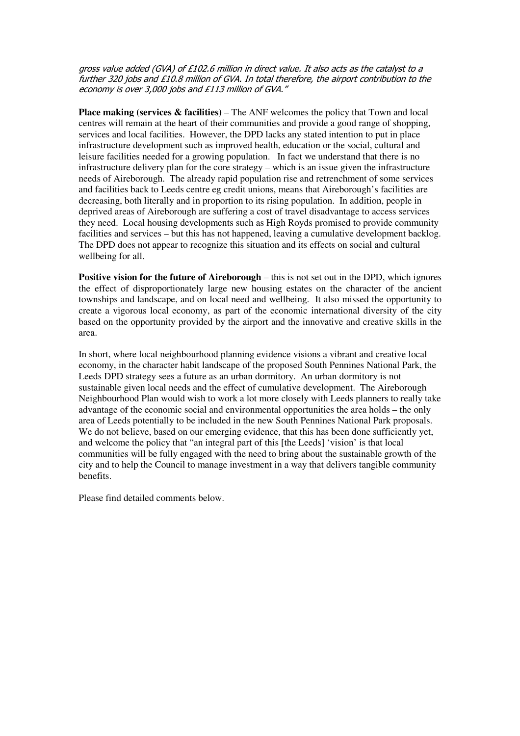gross value added (GVA) of £102.6 million in direct value. It also acts as the catalyst to a further 320 jobs and £10.8 million of GVA. In total therefore, the airport contribution to the economy is over 3,000 jobs and £113 million of GVA."

**Place making (services & facilities)** – The ANF welcomes the policy that Town and local centres will remain at the heart of their communities and provide a good range of shopping, services and local facilities. However, the DPD lacks any stated intention to put in place infrastructure development such as improved health, education or the social, cultural and leisure facilities needed for a growing population. In fact we understand that there is no infrastructure delivery plan for the core strategy – which is an issue given the infrastructure needs of Aireborough. The already rapid population rise and retrenchment of some services and facilities back to Leeds centre eg credit unions, means that Aireborough's facilities are decreasing, both literally and in proportion to its rising population. In addition, people in deprived areas of Aireborough are suffering a cost of travel disadvantage to access services they need. Local housing developments such as High Royds promised to provide community facilities and services – but this has not happened, leaving a cumulative development backlog. The DPD does not appear to recognize this situation and its effects on social and cultural wellbeing for all.

**Positive vision for the future of Aireborough** – this is not set out in the DPD, which ignores the effect of disproportionately large new housing estates on the character of the ancient townships and landscape, and on local need and wellbeing. It also missed the opportunity to create a vigorous local economy, as part of the economic international diversity of the city based on the opportunity provided by the airport and the innovative and creative skills in the area.

In short, where local neighbourhood planning evidence visions a vibrant and creative local economy, in the character habit landscape of the proposed South Pennines National Park, the Leeds DPD strategy sees a future as an urban dormitory. An urban dormitory is not sustainable given local needs and the effect of cumulative development. The Aireborough Neighbourhood Plan would wish to work a lot more closely with Leeds planners to really take advantage of the economic social and environmental opportunities the area holds – the only area of Leeds potentially to be included in the new South Pennines National Park proposals. We do not believe, based on our emerging evidence, that this has been done sufficiently yet. and welcome the policy that "an integral part of this [the Leeds] 'vision' is that local communities will be fully engaged with the need to bring about the sustainable growth of the city and to help the Council to manage investment in a way that delivers tangible community benefits.

Please find detailed comments below.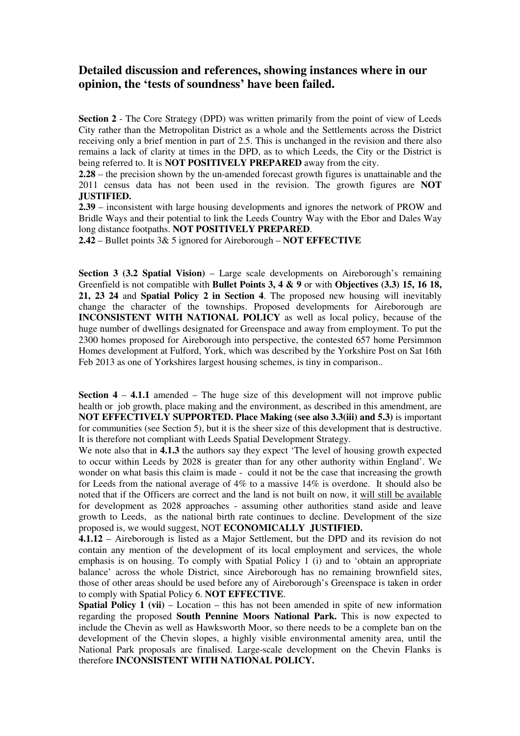## **Detailed discussion and references, showing instances where in our opinion, the 'tests of soundness' have been failed.**

**Section 2** - The Core Strategy (DPD) was written primarily from the point of view of Leeds City rather than the Metropolitan District as a whole and the Settlements across the District receiving only a brief mention in part of 2.5. This is unchanged in the revision and there also remains a lack of clarity at times in the DPD, as to which Leeds, the City or the District is being referred to. It is **NOT POSITIVELY PREPARED** away from the city.

**2.28** – the precision shown by the un-amended forecast growth figures is unattainable and the 2011 census data has not been used in the revision. The growth figures are **NOT JUSTIFIED.**

**2.39** – inconsistent with large housing developments and ignores the network of PROW and Bridle Ways and their potential to link the Leeds Country Way with the Ebor and Dales Way long distance footpaths. **NOT POSITIVELY PREPARED**.

**2.42** – Bullet points 3& 5 ignored for Aireborough – **NOT EFFECTIVE**

**Section 3 (3.2 Spatial Vision)** – Large scale developments on Aireborough's remaining Greenfield is not compatible with **Bullet Points 3, 4 & 9** or with **Objectives (3.3) 15, 16 18, 21, 23 24** and **Spatial Policy 2 in Section 4**. The proposed new housing will inevitably change the character of the townships. Proposed developments for Aireborough are **INCONSISTENT WITH NATIONAL POLICY** as well as local policy, because of the huge number of dwellings designated for Greenspace and away from employment. To put the 2300 homes proposed for Aireborough into perspective, the contested 657 home Persimmon Homes development at Fulford, York, which was described by the Yorkshire Post on Sat 16th Feb 2013 as one of Yorkshires largest housing schemes, is tiny in comparison..

**Section 4 – 4.1.1** amended – The huge size of this development will not improve public health or job growth, place making and the environment, as described in this amendment, are **NOT EFFECTIVELY SUPPORTED. Place Making (see also 3.3(iii) and 5.3)** is important for communities (see Section 5), but it is the sheer size of this development that is destructive. It is therefore not compliant with Leeds Spatial Development Strategy.

We note also that in **4.1.3** the authors say they expect 'The level of housing growth expected to occur within Leeds by 2028 is greater than for any other authority within England'. We wonder on what basis this claim is made - could it not be the case that increasing the growth for Leeds from the national average of 4% to a massive 14% is overdone. It should also be noted that if the Officers are correct and the land is not built on now, it will still be available for development as 2028 approaches - assuming other authorities stand aside and leave growth to Leeds, as the national birth rate continues to decline. Development of the size proposed is, we would suggest, NOT **ECONOMICALLY JUSTIFIED.** 

**4.1.12** – Aireborough is listed as a Major Settlement, but the DPD and its revision do not contain any mention of the development of its local employment and services, the whole emphasis is on housing. To comply with Spatial Policy 1 (i) and to 'obtain an appropriate balance' across the whole District, since Aireborough has no remaining brownfield sites, those of other areas should be used before any of Aireborough's Greenspace is taken in order to comply with Spatial Policy 6. **NOT EFFECTIVE**.

**Spatial Policy 1 (vii)** – Location – this has not been amended in spite of new information regarding the proposed **South Pennine Moors National Park.** This is now expected to include the Chevin as well as Hawksworth Moor, so there needs to be a complete ban on the development of the Chevin slopes, a highly visible environmental amenity area, until the National Park proposals are finalised. Large-scale development on the Chevin Flanks is therefore **INCONSISTENT WITH NATIONAL POLICY.**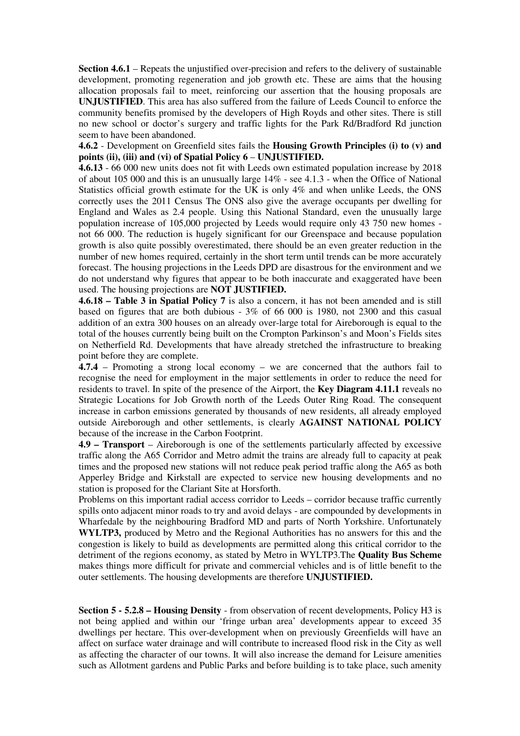**Section 4.6.1** – Repeats the unjustified over-precision and refers to the delivery of sustainable development, promoting regeneration and job growth etc. These are aims that the housing allocation proposals fail to meet, reinforcing our assertion that the housing proposals are **UNJUSTIFIED**. This area has also suffered from the failure of Leeds Council to enforce the community benefits promised by the developers of High Royds and other sites. There is still no new school or doctor's surgery and traffic lights for the Park Rd/Bradford Rd junction seem to have been abandoned.

**4.6.2** - Development on Greenfield sites fails the **Housing Growth Principles (i) to (v) and points (ii), (iii) and (vi) of Spatial Policy 6** – **UNJUSTIFIED.**

**4.6.13** - 66 000 new units does not fit with Leeds own estimated population increase by 2018 of about 105 000 and this is an unusually large 14% - see 4.1.3 - when the Office of National Statistics official growth estimate for the UK is only 4% and when unlike Leeds, the ONS correctly uses the 2011 Census The ONS also give the average occupants per dwelling for England and Wales as 2.4 people. Using this National Standard, even the unusually large population increase of 105,000 projected by Leeds would require only 43 750 new homes not 66 000. The reduction is hugely significant for our Greenspace and because population growth is also quite possibly overestimated, there should be an even greater reduction in the number of new homes required, certainly in the short term until trends can be more accurately forecast. The housing projections in the Leeds DPD are disastrous for the environment and we do not understand why figures that appear to be both inaccurate and exaggerated have been used. The housing projections are **NOT JUSTIFIED.** 

**4.6.18 – Table 3 in Spatial Policy 7** is also a concern, it has not been amended and is still based on figures that are both dubious - 3% of 66 000 is 1980, not 2300 and this casual addition of an extra 300 houses on an already over-large total for Aireborough is equal to the total of the houses currently being built on the Crompton Parkinson's and Moon's Fields sites on Netherfield Rd. Developments that have already stretched the infrastructure to breaking point before they are complete.

**4.7.4** – Promoting a strong local economy – we are concerned that the authors fail to recognise the need for employment in the major settlements in order to reduce the need for residents to travel. In spite of the presence of the Airport, the **Key Diagram 4.11.1** reveals no Strategic Locations for Job Growth north of the Leeds Outer Ring Road. The consequent increase in carbon emissions generated by thousands of new residents, all already employed outside Aireborough and other settlements, is clearly **AGAINST NATIONAL POLICY** because of the increase in the Carbon Footprint.

**4.9 – Transport** – Aireborough is one of the settlements particularly affected by excessive traffic along the A65 Corridor and Metro admit the trains are already full to capacity at peak times and the proposed new stations will not reduce peak period traffic along the A65 as both Apperley Bridge and Kirkstall are expected to service new housing developments and no station is proposed for the Clariant Site at Horsforth.

Problems on this important radial access corridor to Leeds – corridor because traffic currently spills onto adjacent minor roads to try and avoid delays - are compounded by developments in Wharfedale by the neighbouring Bradford MD and parts of North Yorkshire. Unfortunately **WYLTP3,** produced by Metro and the Regional Authorities has no answers for this and the congestion is likely to build as developments are permitted along this critical corridor to the detriment of the regions economy, as stated by Metro in WYLTP3.The **Quality Bus Scheme** makes things more difficult for private and commercial vehicles and is of little benefit to the outer settlements. The housing developments are therefore **UNJUSTIFIED.**

**Section 5 - 5.2.8 – Housing Density** - from observation of recent developments, Policy H3 is not being applied and within our 'fringe urban area' developments appear to exceed 35 dwellings per hectare. This over-development when on previously Greenfields will have an affect on surface water drainage and will contribute to increased flood risk in the City as well as affecting the character of our towns. It will also increase the demand for Leisure amenities such as Allotment gardens and Public Parks and before building is to take place, such amenity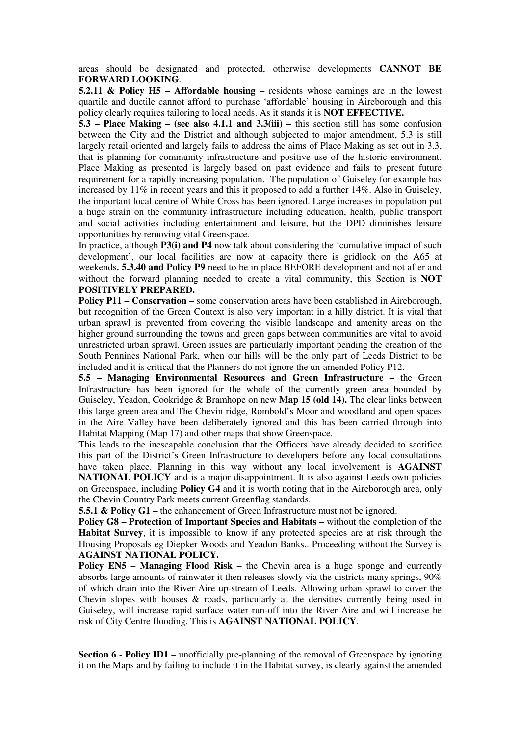areas should be designated and protected, otherwise developments **CANNOT BE FORWARD LOOKING**.

**5.2.11 & Policy H5 – Affordable housing – residents whose earnings are in the lowest** quartile and ductile cannot afford to purchase 'affordable' housing in Aireborough and this policy clearly requires tailoring to local needs. As it stands it is **NOT EFFECTIVE.**

**5.3 – Place Making – (see also 4.1.1 and 3.3(iii)** – this section still has some confusion between the City and the District and although subjected to major amendment, 5.3 is still largely retail oriented and largely fails to address the aims of Place Making as set out in 3.3, that is planning for community infrastructure and positive use of the historic environment. Place Making as presented is largely based on past evidence and fails to present future requirement for a rapidly increasing population. The population of Guiseley for example has increased by  $11\%$  in recent years and this it proposed to add a further  $14\%$ . Also in Guiseley, the important local centre of White Cross has been ignored. Large increases in population put a huge strain on the community infrastructure including education, health, public transport and social activities including entertainment and leisure, but the DPD diminishes leisure opportunities by removing vital Greenspace.

In practice, although **P3(i) and P4** now talk about considering the 'cumulative impact of such development', our local facilities are now at capacity there is gridlock on the A65 at weekends**. 5.3.40 and Policy P9** need to be in place BEFORE development and not after and without the forward planning needed to create a vital community, this Section is **NOT POSITIVELY PREPARED.** 

**Policy P11 – Conservation** – some conservation areas have been established in Aireborough, but recognition of the Green Context is also very important in a hilly district. It is vital that urban sprawl is prevented from covering the visible landscape and amenity areas on the higher ground surrounding the towns and green gaps between communities are vital to avoid unrestricted urban sprawl. Green issues are particularly important pending the creation of the South Pennines National Park, when our hills will be the only part of Leeds District to be included and it is critical that the Planners do not ignore the un-amended Policy P12.

**5.5 – Managing Environmental Resources and Green Infrastructure –** the Green Infrastructure has been ignored for the whole of the currently green area bounded by Guiseley, Yeadon, Cookridge & Bramhope on new **Map 15 (old 14).** The clear links between this large green area and The Chevin ridge, Rombold's Moor and woodland and open spaces in the Aire Valley have been deliberately ignored and this has been carried through into Habitat Mapping (Map 17) and other maps that show Greenspace.

This leads to the inescapable conclusion that the Officers have already decided to sacrifice this part of the District's Green Infrastructure to developers before any local consultations have taken place. Planning in this way without any local involvement is **AGAINST NATIONAL POLICY** and is a major disappointment. It is also against Leeds own policies on Greenspace, including **Policy G4** and it is worth noting that in the Aireborough area, only the Chevin Country Park meets current Greenflag standards.

**5.5.1 & Policy G1** – the enhancement of Green Infrastructure must not be ignored.

**Policy G8 – Protection of Important Species and Habitats –** without the completion of the **Habitat Survey**, it is impossible to know if any protected species are at risk through the Housing Proposals eg Diepker Woods and Yeadon Banks.. Proceeding without the Survey is **AGAINST NATIONAL POLICY.**

**Policy EN5** – **Managing Flood Risk** – the Chevin area is a huge sponge and currently absorbs large amounts of rainwater it then releases slowly via the districts many springs, 90% of which drain into the River Aire up-stream of Leeds. Allowing urban sprawl to cover the Chevin slopes with houses & roads, particularly at the densities currently being used in Guiseley, will increase rapid surface water run-off into the River Aire and will increase he risk of City Centre flooding. This is **AGAINST NATIONAL POLICY**.

**Section 6** - **Policy ID1** – unofficially pre-planning of the removal of Greenspace by ignoring it on the Maps and by failing to include it in the Habitat survey, is clearly against the amended